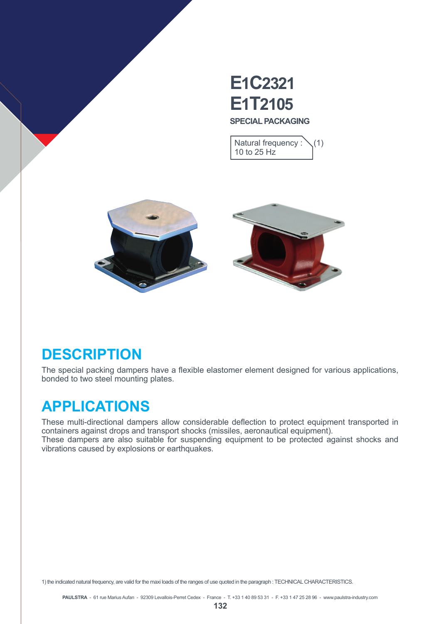

Natural frequency :  $\setminus$  (1) 10 to 25 Hz



### **DESCRIPTION**

The special packing dampers have a flexible elastomer element designed for various applications, bonded to two steel mounting plates.

## **APPLICATIONS**

These multi-directional dampers allow considerable deflection to protect equipment transported in containers against drops and transport shocks (missiles, aeronautical equipment). These dampers are also suitable for suspending equipment to be protected against shocks and vibrations caused by explosions or earthquakes.

1) the indicated natural frequency, are valid for the maxi loads of the ranges of use quoted in the paragraph : TECHNICAL CHARACTERISTICS.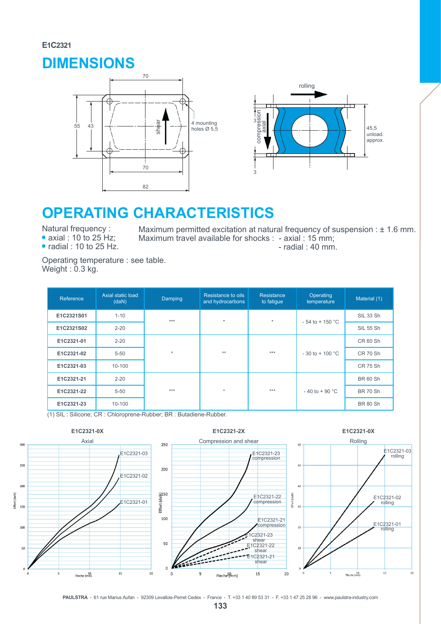#### **E1C2321**

### **DIMENSIONS**





# **OPERATING CHARACTERISTICS**

Natural frequency :

 $\bullet$  axial : 10 to 25 Hz;

 $\bullet$  radial : 10 to 25 Hz.

Maximum permitted excitation at natural frequency of suspension :  $\pm$  1.6 mm. Maximum travel available for shocks : - axial : 15 mm; - radial : 40 mm.

Operating temperature : see table. Weight : 0.3 kg.

| Reference  | Axial static load<br>(daN) | Damping | Resistance to oils<br>and hydrocarbons | Resistance<br>to fatigue | Operating<br>temperature | Material (1)    |
|------------|----------------------------|---------|----------------------------------------|--------------------------|--------------------------|-----------------|
| E1C2321S01 | $1 - 10$                   | ***     | $\star$                                | $\star$                  | $-54$ to $+150$ °C       | SIL 33 Sh       |
| E1C2321S02 | $2 - 20$                   |         |                                        |                          |                          | SIL 55 Sh       |
| E1C2321-01 | $2 - 20$                   |         |                                        |                          |                          | CR 60 Sh        |
| E1C2321-02 | $5 - 50$                   | $\star$ | **                                     | ***                      | $-30$ to $+100$ °C       | <b>CR 70 Sh</b> |
| E1C2321-03 | $10 - 100$                 |         |                                        |                          |                          | CR 75 Sh        |
| E1C2321-21 | $2 - 20$                   |         |                                        |                          |                          | <b>BR 60 Sh</b> |
| E1C2321-22 | $5 - 50$                   | ***     | $\star$                                | ***                      | $-40$ to $+90$ °C        | <b>BR 70 Sh</b> |
| E1C2321-23 | 10-100                     |         |                                        |                          |                          | <b>BR 80 Sh</b> |

(1) SIL : Silicone; CR : Chloroprene-Rubber; BR : Butadiene-Rubber.